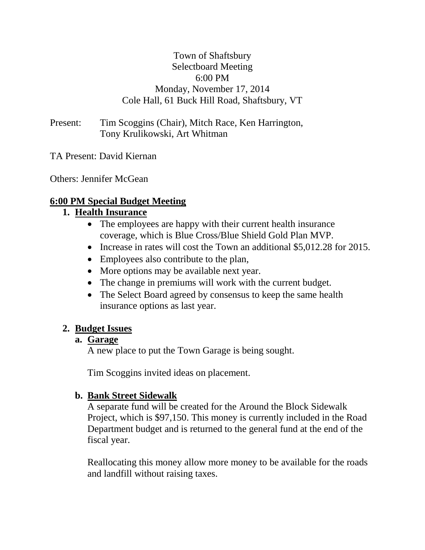## Town of Shaftsbury Selectboard Meeting 6:00 PM Monday, November 17, 2014 Cole Hall, 61 Buck Hill Road, Shaftsbury, VT

Present: Tim Scoggins (Chair), Mitch Race, Ken Harrington, Tony Krulikowski, Art Whitman

TA Present: David Kiernan

Others: Jennifer McGean

## **6:00 PM Special Budget Meeting**

## **1. Health Insurance**

- The employees are happy with their current health insurance coverage, which is Blue Cross/Blue Shield Gold Plan MVP.
- Increase in rates will cost the Town an additional \$5,012.28 for 2015.
- Employees also contribute to the plan,
- More options may be available next year.
- The change in premiums will work with the current budget.
- The Select Board agreed by consensus to keep the same health insurance options as last year.

## **2. Budget Issues**

## **a. Garage**

A new place to put the Town Garage is being sought.

Tim Scoggins invited ideas on placement.

# **b. Bank Street Sidewalk**

A separate fund will be created for the Around the Block Sidewalk Project, which is \$97,150. This money is currently included in the Road Department budget and is returned to the general fund at the end of the fiscal year.

Reallocating this money allow more money to be available for the roads and landfill without raising taxes.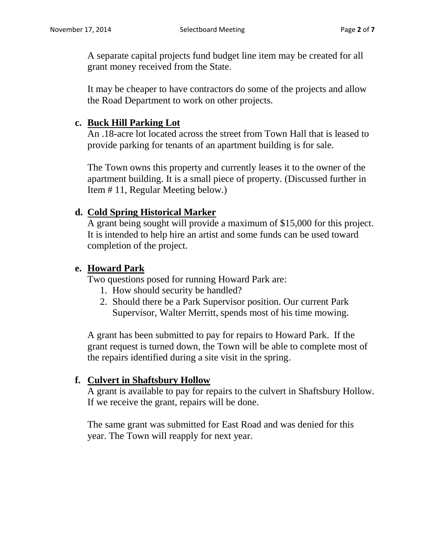A separate capital projects fund budget line item may be created for all grant money received from the State.

It may be cheaper to have contractors do some of the projects and allow the Road Department to work on other projects.

## **c. Buck Hill Parking Lot**

An .18-acre lot located across the street from Town Hall that is leased to provide parking for tenants of an apartment building is for sale.

The Town owns this property and currently leases it to the owner of the apartment building. It is a small piece of property. (Discussed further in Item # 11, Regular Meeting below.)

## **d. Cold Spring Historical Marker**

A grant being sought will provide a maximum of \$15,000 for this project. It is intended to help hire an artist and some funds can be used toward completion of the project.

## **e. Howard Park**

Two questions posed for running Howard Park are:

- 1. How should security be handled?
- 2. Should there be a Park Supervisor position. Our current Park Supervisor, Walter Merritt, spends most of his time mowing.

A grant has been submitted to pay for repairs to Howard Park. If the grant request is turned down, the Town will be able to complete most of the repairs identified during a site visit in the spring.

# **f. Culvert in Shaftsbury Hollow**

A grant is available to pay for repairs to the culvert in Shaftsbury Hollow. If we receive the grant, repairs will be done.

The same grant was submitted for East Road and was denied for this year. The Town will reapply for next year.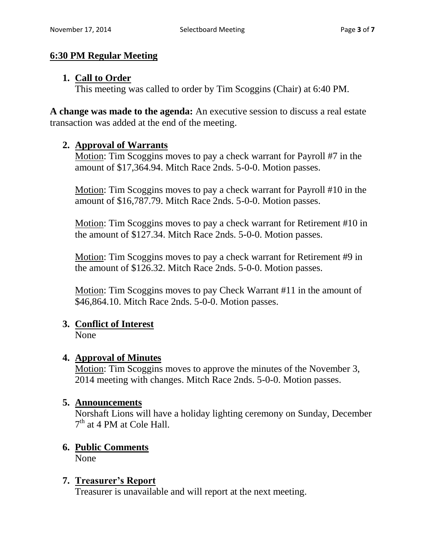## **6:30 PM Regular Meeting**

## **1. Call to Order**

This meeting was called to order by Tim Scoggins (Chair) at 6:40 PM.

**A change was made to the agenda:** An executive session to discuss a real estate transaction was added at the end of the meeting.

## **2. Approval of Warrants**

Motion: Tim Scoggins moves to pay a check warrant for Payroll #7 in the amount of \$17,364.94. Mitch Race 2nds. 5-0-0. Motion passes.

Motion: Tim Scoggins moves to pay a check warrant for Payroll #10 in the amount of \$16,787.79. Mitch Race 2nds. 5-0-0. Motion passes.

Motion: Tim Scoggins moves to pay a check warrant for Retirement #10 in the amount of \$127.34. Mitch Race 2nds. 5-0-0. Motion passes.

Motion: Tim Scoggins moves to pay a check warrant for Retirement #9 in the amount of \$126.32. Mitch Race 2nds. 5-0-0. Motion passes.

Motion: Tim Scoggins moves to pay Check Warrant #11 in the amount of \$46,864.10. Mitch Race 2nds. 5-0-0. Motion passes.

# **3. Conflict of Interest**

None

# **4. Approval of Minutes**

Motion: Tim Scoggins moves to approve the minutes of the November 3, 2014 meeting with changes. Mitch Race 2nds. 5-0-0. Motion passes.

## **5. Announcements**

Norshaft Lions will have a holiday lighting ceremony on Sunday, December 7<sup>th</sup> at 4 PM at Cole Hall.

# **6. Public Comments**

None

# **7. Treasurer's Report**

Treasurer is unavailable and will report at the next meeting.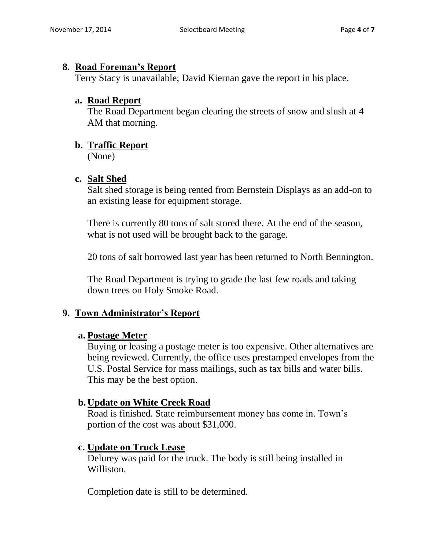#### **8. Road Foreman's Report**

Terry Stacy is unavailable; David Kiernan gave the report in his place.

## **a. Road Report**

The Road Department began clearing the streets of snow and slush at 4 AM that morning.

## **b. Traffic Report**

(None)

## **c. Salt Shed**

Salt shed storage is being rented from Bernstein Displays as an add-on to an existing lease for equipment storage.

There is currently 80 tons of salt stored there. At the end of the season, what is not used will be brought back to the garage.

20 tons of salt borrowed last year has been returned to North Bennington.

The Road Department is trying to grade the last few roads and taking down trees on Holy Smoke Road.

## **9. Town Administrator's Report**

## **a. Postage Meter**

Buying or leasing a postage meter is too expensive. Other alternatives are being reviewed. Currently, the office uses prestamped envelopes from the U.S. Postal Service for mass mailings, such as tax bills and water bills. This may be the best option.

## **b. Update on White Creek Road**

Road is finished. State reimbursement money has come in. Town's portion of the cost was about \$31,000.

## **c. Update on Truck Lease**

Delurey was paid for the truck. The body is still being installed in Williston.

Completion date is still to be determined.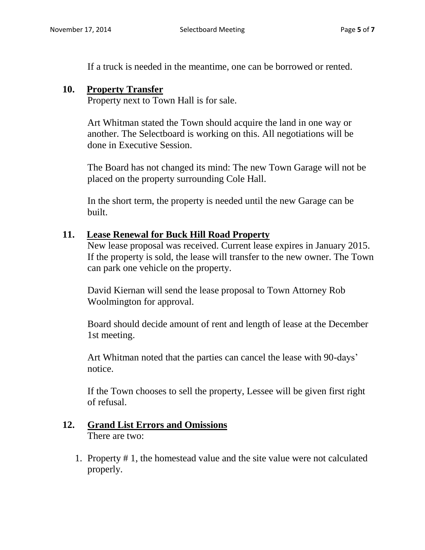If a truck is needed in the meantime, one can be borrowed or rented.

#### **10. Property Transfer**

Property next to Town Hall is for sale.

Art Whitman stated the Town should acquire the land in one way or another. The Selectboard is working on this. All negotiations will be done in Executive Session.

The Board has not changed its mind: The new Town Garage will not be placed on the property surrounding Cole Hall.

In the short term, the property is needed until the new Garage can be built.

#### **11. Lease Renewal for Buck Hill Road Property**

New lease proposal was received. Current lease expires in January 2015. If the property is sold, the lease will transfer to the new owner. The Town can park one vehicle on the property.

David Kiernan will send the lease proposal to Town Attorney Rob Woolmington for approval.

Board should decide amount of rent and length of lease at the December 1st meeting.

Art Whitman noted that the parties can cancel the lease with 90-days' notice.

If the Town chooses to sell the property, Lessee will be given first right of refusal.

# **12. Grand List Errors and Omissions**

There are two:

1. Property # 1, the homestead value and the site value were not calculated properly.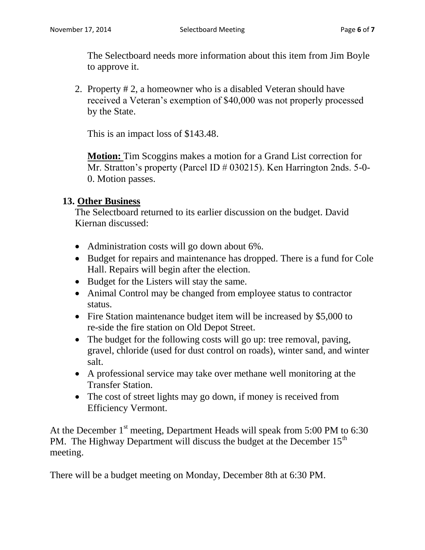The Selectboard needs more information about this item from Jim Boyle to approve it.

2. Property # 2, a homeowner who is a disabled Veteran should have received a Veteran's exemption of \$40,000 was not properly processed by the State.

This is an impact loss of \$143.48.

**Motion:** Tim Scoggins makes a motion for a Grand List correction for Mr. Stratton's property (Parcel ID # 030215). Ken Harrington 2nds. 5-0-0. Motion passes.

#### **13. Other Business**

The Selectboard returned to its earlier discussion on the budget. David Kiernan discussed:

- Administration costs will go down about 6%.
- Budget for repairs and maintenance has dropped. There is a fund for Cole Hall. Repairs will begin after the election.
- Budget for the Listers will stay the same.
- Animal Control may be changed from employee status to contractor status.
- Fire Station maintenance budget item will be increased by \$5,000 to re-side the fire station on Old Depot Street.
- The budget for the following costs will go up: tree removal, paving, gravel, chloride (used for dust control on roads), winter sand, and winter salt.
- A professional service may take over methane well monitoring at the Transfer Station.
- The cost of street lights may go down, if money is received from Efficiency Vermont.

At the December  $1<sup>st</sup>$  meeting, Department Heads will speak from 5:00 PM to 6:30 PM. The Highway Department will discuss the budget at the December  $15<sup>th</sup>$ meeting.

There will be a budget meeting on Monday, December 8th at 6:30 PM.